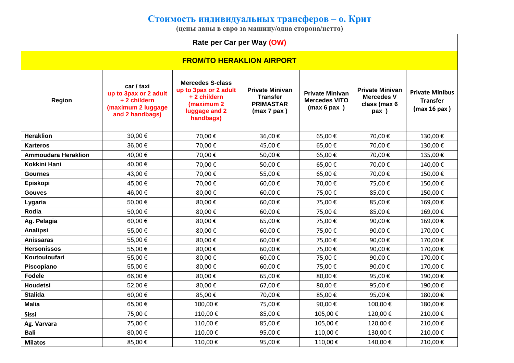## **Стоимость индивидуальных трансферов – о. Крит**

**(цены даны в евро за машину/одна сторона/нетто)**

| Rate per Car per Way (OW)        |                                                                                             |                                                                                                             |                                                                                   |                                                               |                                                                                 |                                                           |  |  |  |  |
|----------------------------------|---------------------------------------------------------------------------------------------|-------------------------------------------------------------------------------------------------------------|-----------------------------------------------------------------------------------|---------------------------------------------------------------|---------------------------------------------------------------------------------|-----------------------------------------------------------|--|--|--|--|
| <b>FROM/TO HERAKLION AIRPORT</b> |                                                                                             |                                                                                                             |                                                                                   |                                                               |                                                                                 |                                                           |  |  |  |  |
| <b>Region</b>                    | car / taxi<br>up to 3pax or 2 adult<br>+2 childern<br>(maximum 2 luggage<br>and 2 handbags) | <b>Mercedes S-class</b><br>up to 3pax or 2 adult<br>+2 childern<br>(maximum 2<br>luggage and 2<br>handbags) | <b>Private Minivan</b><br><b>Transfer</b><br><b>PRIMASTAR</b><br>$(max 7$ pax $)$ | <b>Private Minivan</b><br><b>Mercedes VITO</b><br>(max 6 pax) | <b>Private Minivan</b><br><b>Mercedes V</b><br>class (max 6<br>$\mathsf{pax}$ ) | <b>Private Minibus</b><br><b>Transfer</b><br>(max 16 pax) |  |  |  |  |
| <b>Heraklion</b>                 | 30,00 €                                                                                     | 70,00€                                                                                                      | 36,00€                                                                            | 65,00€                                                        | 70,00€                                                                          | 130,00€                                                   |  |  |  |  |
| <b>Karteros</b>                  | 36,00 €                                                                                     | 70,00€                                                                                                      | 45,00€                                                                            | 65,00€                                                        | 70,00€                                                                          | 130,00€                                                   |  |  |  |  |
| <b>Ammoudara Heraklion</b>       | 40,00 €                                                                                     | 70,00€                                                                                                      | 50,00€                                                                            | 65,00€                                                        | 70,00€                                                                          | 135,00€                                                   |  |  |  |  |
| <b>Kokkini Hani</b>              | 40,00 €                                                                                     | 70,00€                                                                                                      | 50,00€                                                                            | 65,00€                                                        | 70,00€                                                                          | 140,00€                                                   |  |  |  |  |
| <b>Gournes</b>                   | 43,00 €                                                                                     | 70,00€                                                                                                      | 55,00€                                                                            | 65,00€                                                        | 70,00€                                                                          | 150,00€                                                   |  |  |  |  |
| Episkopi                         | 45,00 €                                                                                     | 70,00€                                                                                                      | 60,00€                                                                            | 70,00€                                                        | 75,00€                                                                          | 150,00€                                                   |  |  |  |  |
| <b>Gouves</b>                    | 46,00 €                                                                                     | 80,00€                                                                                                      | 60,00€                                                                            | 75,00€                                                        | 85,00€                                                                          | 150,00€                                                   |  |  |  |  |
| Lygaria                          | 50,00€                                                                                      | 80,00€                                                                                                      | 60,00€                                                                            | 75,00€                                                        | 85,00€                                                                          | 169,00€                                                   |  |  |  |  |
| <b>Rodia</b>                     | 50,00€                                                                                      | 80,00€                                                                                                      | 60,00€                                                                            | 75,00€                                                        | 85,00€                                                                          | 169,00€                                                   |  |  |  |  |
| Ag. Pelagia                      | 60,00 €                                                                                     | 80,00€                                                                                                      | 65,00€                                                                            | 75,00€                                                        | 90,00€                                                                          | 169,00€                                                   |  |  |  |  |
| Analipsi                         | 55,00€                                                                                      | 80,00€                                                                                                      | 60,00€                                                                            | 75,00€                                                        | 90,00€                                                                          | 170,00€                                                   |  |  |  |  |
| <b>Anissaras</b>                 | 55,00 €                                                                                     | 80,00€                                                                                                      | 60,00€                                                                            | 75,00€                                                        | 90,00€                                                                          | 170,00€                                                   |  |  |  |  |
| <b>Hersonissos</b>               | 55,00€                                                                                      | 80,00€                                                                                                      | 60,00€                                                                            | 75,00€                                                        | 90,00€                                                                          | 170,00€                                                   |  |  |  |  |
| Koutouloufari                    | 55,00 €                                                                                     | 80,00€                                                                                                      | 60,00€                                                                            | 75,00€                                                        | 90,00€                                                                          | 170,00€                                                   |  |  |  |  |
| Piscopiano                       | 55,00 €                                                                                     | 80,00€                                                                                                      | 60,00€                                                                            | 75,00€                                                        | 90,00€                                                                          | 170,00€                                                   |  |  |  |  |
| <b>Fodele</b>                    | 66,00€                                                                                      | 80,00€                                                                                                      | 65,00€                                                                            | 80,00€                                                        | 95,00€                                                                          | 190,00€                                                   |  |  |  |  |
| <b>Houdetsi</b>                  | 52,00€                                                                                      | 80,00€                                                                                                      | 67,00€                                                                            | 80,00€                                                        | 95,00€                                                                          | 190,00€                                                   |  |  |  |  |
| <b>Stalida</b>                   | 60,00€                                                                                      | 85,00€                                                                                                      | 70,00€                                                                            | 85,00€                                                        | 95,00€                                                                          | 180,00€                                                   |  |  |  |  |
| <b>Malia</b>                     | 65,00€                                                                                      | 100,00€                                                                                                     | 75,00€                                                                            | 90,00€                                                        | 100,00€                                                                         | 180,00€                                                   |  |  |  |  |
| <b>Sissi</b>                     | 75,00€                                                                                      | 110,00€                                                                                                     | 85,00€                                                                            | 105,00€                                                       | 120,00€                                                                         | 210,00€                                                   |  |  |  |  |
| Ag. Varvara                      | 75,00€                                                                                      | 110,00€                                                                                                     | 85,00€                                                                            | 105,00€                                                       | 120,00€                                                                         | 210,00€                                                   |  |  |  |  |
| <b>Bali</b>                      | 80,00 €                                                                                     | 110,00€                                                                                                     | 95,00€                                                                            | 110,00€                                                       | 130,00€                                                                         | 210,00€                                                   |  |  |  |  |
| <b>Milatos</b>                   | 85,00€                                                                                      | 110,00€                                                                                                     | 95,00€                                                                            | 110,00€                                                       | 140,00€                                                                         | 210,00€                                                   |  |  |  |  |